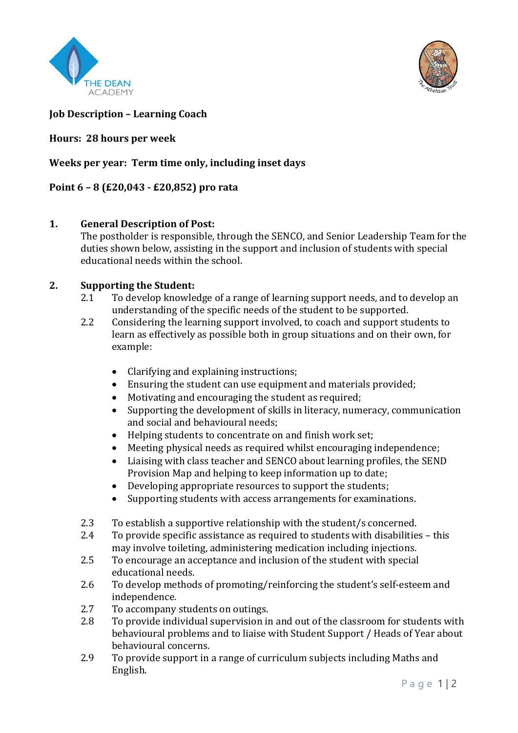



# **Job Description – Learning Coach**

#### **Hours: 28 hours per week**

# **Weeks per year: Term time only, including inset days**

# **Point 6 – 8 (£20,043 - £20,852) pro rata**

## **1. General Description of Post:**

The postholder is responsible, through the SENCO, and Senior Leadership Team for the duties shown below, assisting in the support and inclusion of students with special educational needs within the school.

## **2. Supporting the Student:**

- 2.1 To develop knowledge of a range of learning support needs, and to develop an understanding of the specific needs of the student to be supported.
- 2.2 Considering the learning support involved, to coach and support students to learn as effectively as possible both in group situations and on their own, for example:
	- Clarifying and explaining instructions;
	- Ensuring the student can use equipment and materials provided;
	- Motivating and encouraging the student as required;
	- Supporting the development of skills in literacy, numeracy, communication and social and behavioural needs;
	- Helping students to concentrate on and finish work set;
	- Meeting physical needs as required whilst encouraging independence;
	- Liaising with class teacher and SENCO about learning profiles, the SEND Provision Map and helping to keep information up to date;
	- Developing appropriate resources to support the students;
	- Supporting students with access arrangements for examinations.
- 2.3 To establish a supportive relationship with the student/s concerned.
- 2.4 To provide specific assistance as required to students with disabilities this may involve toileting, administering medication including injections.
- 2.5 To encourage an acceptance and inclusion of the student with special educational needs.
- 2.6 To develop methods of promoting/reinforcing the student's self-esteem and independence.
- 2.7 To accompany students on outings.
- 2.8 To provide individual supervision in and out of the classroom for students with behavioural problems and to liaise with Student Support / Heads of Year about behavioural concerns.
- 2.9 To provide support in a range of curriculum subjects including Maths and English.